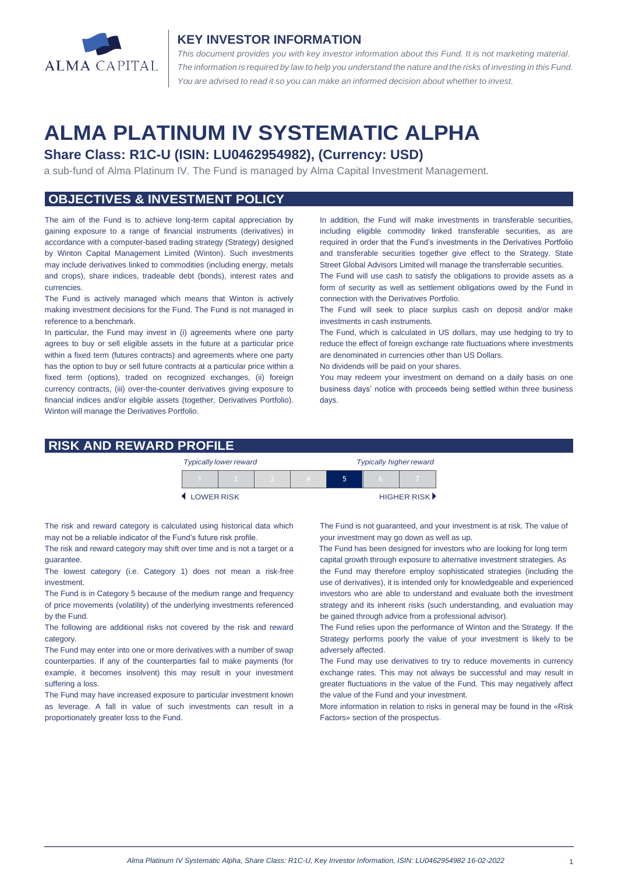

#### **KEY INVESTOR INFORMATION**

*This document provides you with key investor information about this Fund. It is not marketing material.*  The information is required by law to help you understand the nature and the risks of investing in this Fund. *You are advised to read it so you can make an informed decision about whether to invest.*

# **ALMA PLATINUM IV SYSTEMATIC ALPHA**

## **Share Class: R1C-U (ISIN: LU0462954982), (Currency: USD)**

a sub-fund of Alma Platinum IV. The Fund is managed by Alma Capital Investment Management.

## **OBJECTIVES & INVESTMENT POLICY**

The aim of the Fund is to achieve long-term capital appreciation by gaining exposure to a range of financial instruments (derivatives) in accordance with a computer-based trading strategy (Strategy) designed by Winton Capital Management Limited (Winton). Such investments may include derivatives linked to commodities (including energy, metals and crops), share indices, tradeable debt (bonds), interest rates and currencies.

The Fund is actively managed which means that Winton is actively making investment decisions for the Fund. The Fund is not managed in reference to a benchmark.

In particular, the Fund may invest in (i) agreements where one party agrees to buy or sell eligible assets in the future at a particular price within a fixed term (futures contracts) and agreements where one party has the option to buy or sell future contracts at a particular price within a fixed term (options), traded on recognized exchanges, (ii) foreign currency contracts, (iii) over-the-counter derivatives giving exposure to financial indices and/or eligible assets (together, Derivatives Portfolio). Winton will manage the Derivatives Portfolio.

In addition, the Fund will make investments in transferable securities, including eligible commodity linked transferable securities, as are required in order that the Fund's investments in the Derivatives Portfolio and transferable securities together give effect to the Strategy. State Street Global Advisors Limited will manage the transferrable securities.

The Fund will use cash to satisfy the obligations to provide assets as a form of security as well as settlement obligations owed by the Fund in connection with the Derivatives Portfolio.

The Fund will seek to place surplus cash on deposit and/or make investments in cash instruments.

The Fund, which is calculated in US dollars, may use hedging to try to reduce the effect of foreign exchange rate fluctuations where investments are denominated in currencies other than US Dollars.

No dividends will be paid on your shares.

You may redeem your investment on demand on a daily basis on one business days' notice with proceeds being settled within three business days

## **RISK AND REWARD PROFILE**

|            | <b>Typically lower reward</b> |  | <b>Typically higher reward</b> |  |  |                             |
|------------|-------------------------------|--|--------------------------------|--|--|-----------------------------|
|            |                               |  |                                |  |  |                             |
| LOWER RISK |                               |  |                                |  |  | HIGHER RISK <sup>&gt;</sup> |

The risk and reward category is calculated using historical data which may not be a reliable indicator of the Fund's future risk profile.

The risk and reward category may shift over time and is not a target or a guarantee.

The lowest category (i.e. Category 1) does not mean a risk-free investment.

The Fund is in Category 5 because of the medium range and frequency of price movements (volatility) of the underlying investments referenced by the Fund.

The following are additional risks not covered by the risk and reward category.

The Fund may enter into one or more derivatives with a number of swap counterparties. If any of the counterparties fail to make payments (for example, it becomes insolvent) this may result in your investment suffering a loss.

The Fund may have increased exposure to particular investment known as leverage. A fall in value of such investments can result in a proportionately greater loss to the Fund.

The Fund is not guaranteed, and your investment is at risk. The value of your investment may go down as well as up.

 The Fund has been designed for investors who are looking for long term capital growth through exposure to alternative investment strategies. As

the Fund may therefore employ sophisticated strategies (including the use of derivatives), it is intended only for knowledgeable and experienced investors who are able to understand and evaluate both the investment strategy and its inherent risks (such understanding, and evaluation may be gained through advice from a professional advisor).

The Fund relies upon the performance of Winton and the Strategy. If the Strategy performs poorly the value of your investment is likely to be adversely affected.

The Fund may use derivatives to try to reduce movements in currency exchange rates. This may not always be successful and may result in greater fluctuations in the value of the Fund. This may negatively affect the value of the Fund and your investment.

More information in relation to risks in general may be found in the «Risk Factors» section of the prospectus.